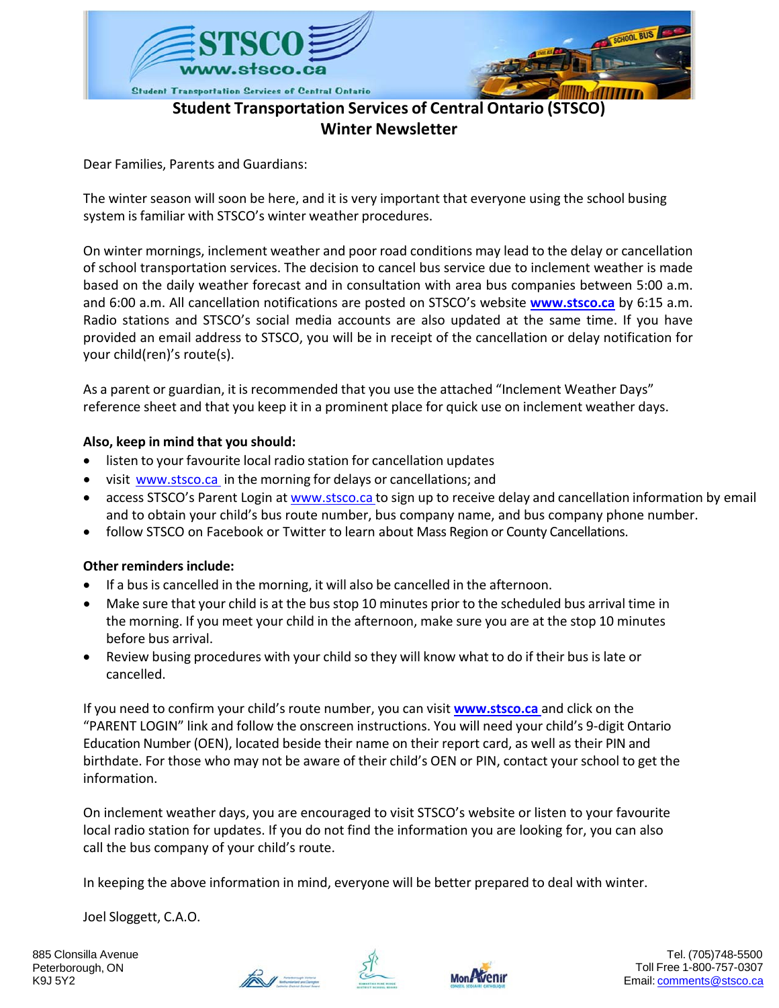

## **Student Transportation Services of Central Ontario (STSCO) Winter Newsletter**

Dear Families, Parents and Guardians:

The winter season will soon be here, and it is very important that everyone using the school busing system is familiar with STSCO's winter weather procedures.

On winter mornings, inclement weather and poor road conditions may lead to the delay or cancellation of school transportation services. The decision to cancel bus service due to inclement weather is made based on the daily weather forecast and in consultation with area bus companies between 5:00 a.m. and 6:00 a.m. All cancellation notifications are posted on STSCO's website **[www.stsco.ca](http://www.stsco.ca/)** by 6:15 a.m. Radio stations and STSCO's social media accounts are also updated at the same time. If you have provided an email address to STSCO, you will be in receipt of the cancellation or delay notification for your child(ren)'s route(s).

As a parent or guardian, it is recommended that you use the attached "Inclement Weather Days" reference sheet and that you keep it in a prominent place for quick use on inclement weather days.

### **Also, keep in mind that you should:**

- listen to your favourite local radio station for cancellation updates
- visit [www.stsco.ca](http://www.stsco.ca/) in the morning for delays or cancellations; and
- access STSCO's Parent Login at [www.stsco.ca](http://www.stsco.ca/) to sign up to receive delay and cancellation information by email and to obtain your child's bus route number, bus company name, and bus company phone number.
- follow STSCO on Facebook or Twitter to learn about Mass Region or County Cancellations.

#### **Other reminders include:**

- If a bus is cancelled in the morning, it will also be cancelled in the afternoon.
- Make sure that your child is at the bus stop 10 minutes prior to the scheduled bus arrival time in the morning. If you meet your child in the afternoon, make sure you are at the stop 10 minutes before bus arrival.
- Review busing procedures with your child so they will know what to do if their bus is late or cancelled.

If you need to confirm your child's route number, you can visit **[www.stsco.ca](http://www.stsco.ca/)** and click on the "PARENT LOGIN" link and follow the onscreen instructions. You will need your child's 9‐digit Ontario Education Number (OEN), located beside their name on their report card, as well as their PIN and birthdate. For those who may not be aware of their child's OEN or PIN, contact your school to get the information.

On inclement weather days, you are encouraged to visit STSCO's website or listen to your favourite local radio station for updates. If you do not find the information you are looking for, you can also call the bus company of your child's route.

In keeping the above information in mind, everyone will be better prepared to deal with winter.

Joel Sloggett, C.A.O.

885 Clonsilla Avenue Peterborough, ON K9J 5Y2